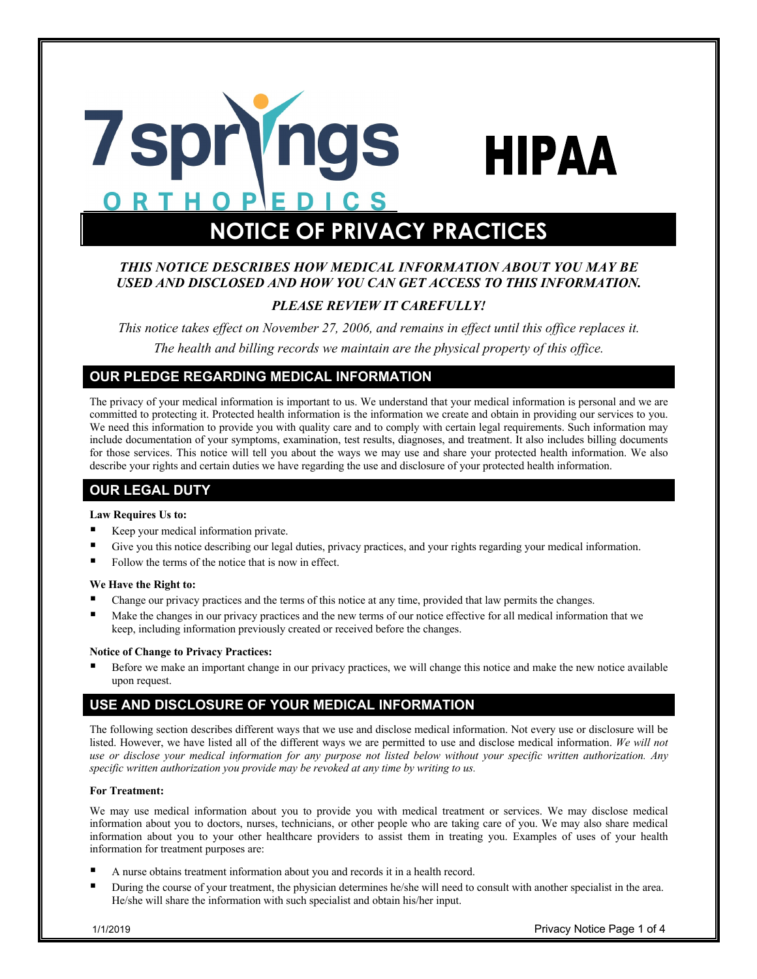

# **NOTICE OF PRIVACY PRACTICES**

# *THIS NOTICE DESCRIBES HOW MEDICAL INFORMATION ABOUT YOU MAY BE USED AND DISCLOSED AND HOW YOU CAN GET ACCESS TO THIS INFORMATION.*

# *PLEASE REVIEW IT CAREFULLY!*

*This notice takes effect on November 27, 2006, and remains in effect until this office replaces it. The health and billing records we maintain are the physical property of this office.*

# **OUR PLEDGE REGARDING MEDICAL INFORMATION**

The privacy of your medical information is important to us. We understand that your medical information is personal and we are committed to protecting it. Protected health information is the information we create and obtain in providing our services to you. We need this information to provide you with quality care and to comply with certain legal requirements. Such information may include documentation of your symptoms, examination, test results, diagnoses, and treatment. It also includes billing documents for those services. This notice will tell you about the ways we may use and share your protected health information. We also describe your rights and certain duties we have regarding the use and disclosure of your protected health information.

# **OUR LEGAL DUTY**

### **Law Requires Us to:**

- Keep your medical information private.
- Give you this notice describing our legal duties, privacy practices, and your rights regarding your medical information.
- Follow the terms of the notice that is now in effect.

### **We Have the Right to:**

- § Change our privacy practices and the terms of this notice at any time, provided that law permits the changes.
- Make the changes in our privacy practices and the new terms of our notice effective for all medical information that we keep, including information previously created or received before the changes.

### **Notice of Change to Privacy Practices:**

Before we make an important change in our privacy practices, we will change this notice and make the new notice available upon request.

# **USE AND DISCLOSURE OF YOUR MEDICAL INFORMATION**

The following section describes different ways that we use and disclose medical information. Not every use or disclosure will be listed. However, we have listed all of the different ways we are permitted to use and disclose medical information. *We will not use or disclose your medical information for any purpose not listed below without your specific written authorization. Any specific written authorization you provide may be revoked at any time by writing to us.*

### **For Treatment:**

We may use medical information about you to provide you with medical treatment or services. We may disclose medical information about you to doctors, nurses, technicians, or other people who are taking care of you. We may also share medical information about you to your other healthcare providers to assist them in treating you. Examples of uses of your health information for treatment purposes are:

- § A nurse obtains treatment information about you and records it in a health record.
- § During the course of your treatment, the physician determines he/she will need to consult with another specialist in the area. He/she will share the information with such specialist and obtain his/her input.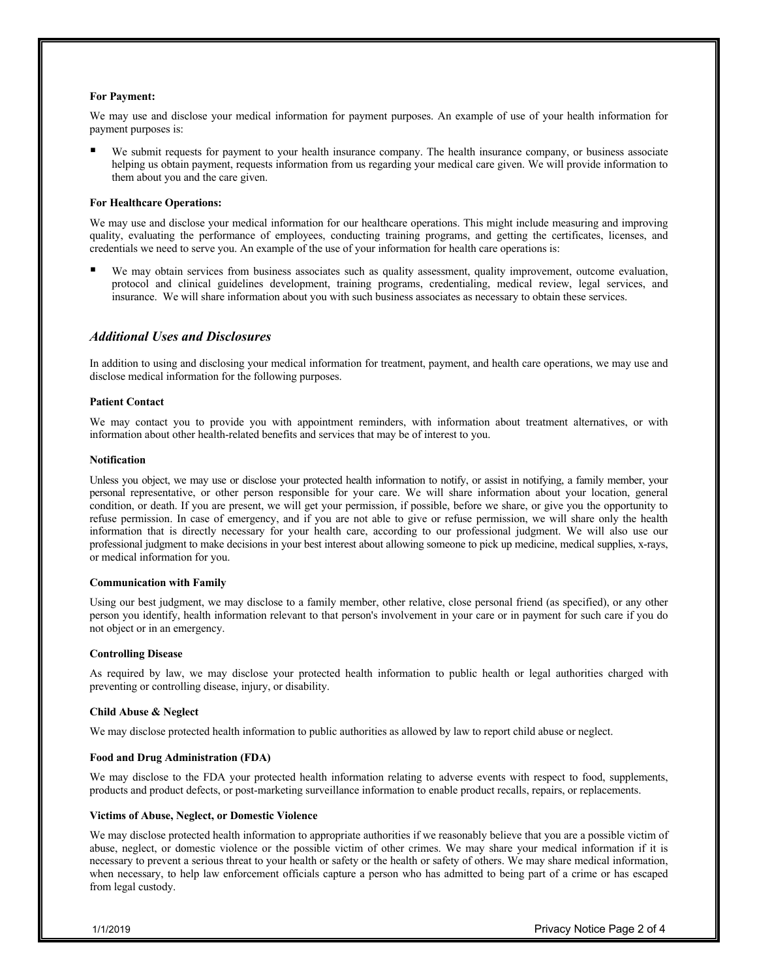#### **For Payment:**

We may use and disclose your medical information for payment purposes. An example of use of your health information for payment purposes is:

We submit requests for payment to your health insurance company. The health insurance company, or business associate helping us obtain payment, requests information from us regarding your medical care given. We will provide information to them about you and the care given.

#### **For Healthcare Operations:**

We may use and disclose your medical information for our healthcare operations. This might include measuring and improving quality, evaluating the performance of employees, conducting training programs, and getting the certificates, licenses, and credentials we need to serve you. An example of the use of your information for health care operations is:

We may obtain services from business associates such as quality assessment, quality improvement, outcome evaluation, protocol and clinical guidelines development, training programs, credentialing, medical review, legal services, and insurance. We will share information about you with such business associates as necessary to obtain these services.

### *Additional Uses and Disclosures*

In addition to using and disclosing your medical information for treatment, payment, and health care operations, we may use and disclose medical information for the following purposes.

#### **Patient Contact**

We may contact you to provide you with appointment reminders, with information about treatment alternatives, or with information about other health-related benefits and services that may be of interest to you.

#### **Notification**

Unless you object, we may use or disclose your protected health information to notify, or assist in notifying, a family member, your personal representative, or other person responsible for your care. We will share information about your location, general condition, or death. If you are present, we will get your permission, if possible, before we share, or give you the opportunity to refuse permission. In case of emergency, and if you are not able to give or refuse permission, we will share only the health information that is directly necessary for your health care, according to our professional judgment. We will also use our professional judgment to make decisions in your best interest about allowing someone to pick up medicine, medical supplies, x-rays, or medical information for you.

#### **Communication with Family**

Using our best judgment, we may disclose to a family member, other relative, close personal friend (as specified), or any other person you identify, health information relevant to that person's involvement in your care or in payment for such care if you do not object or in an emergency.

#### **Controlling Disease**

As required by law, we may disclose your protected health information to public health or legal authorities charged with preventing or controlling disease, injury, or disability.

#### **Child Abuse & Neglect**

We may disclose protected health information to public authorities as allowed by law to report child abuse or neglect.

#### **Food and Drug Administration (FDA)**

We may disclose to the FDA your protected health information relating to adverse events with respect to food, supplements, products and product defects, or post-marketing surveillance information to enable product recalls, repairs, or replacements.

#### **Victims of Abuse, Neglect, or Domestic Violence**

We may disclose protected health information to appropriate authorities if we reasonably believe that you are a possible victim of abuse, neglect, or domestic violence or the possible victim of other crimes. We may share your medical information if it is necessary to prevent a serious threat to your health or safety or the health or safety of others. We may share medical information, when necessary, to help law enforcement officials capture a person who has admitted to being part of a crime or has escaped from legal custody.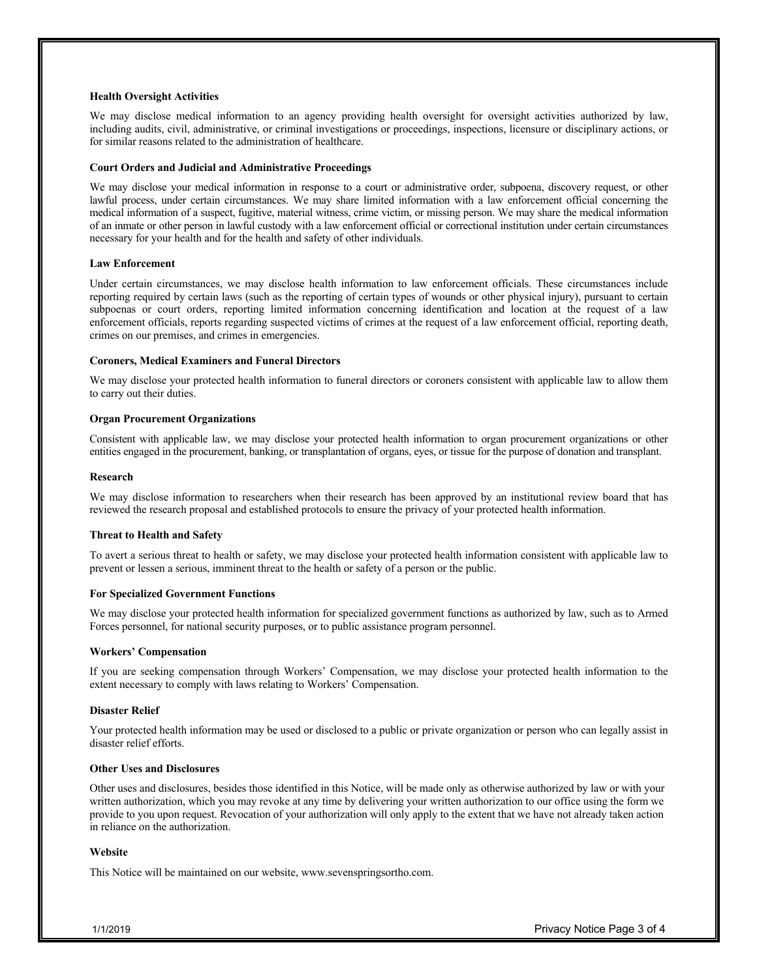#### **Health Oversight Activities**

We may disclose medical information to an agency providing health oversight for oversight activities authorized by law, including audits, civil, administrative, or criminal investigations or proceedings, inspections, licensure or disciplinary actions, or for similar reasons related to the administration of healthcare.

#### **Court Orders and Judicial and Administrative Proceedings**

We may disclose your medical information in response to a court or administrative order, subpoena, discovery request, or other lawful process, under certain circumstances. We may share limited information with a law enforcement official concerning the medical information of a suspect, fugitive, material witness, crime victim, or missing person. We may share the medical information of an inmate or other person in lawful custody with a law enforcement official or correctional institution under certain circumstances necessary for your health and for the health and safety of other individuals.

#### **Law Enforcement**

Under certain circumstances, we may disclose health information to law enforcement officials. These circumstances include reporting required by certain laws (such as the reporting of certain types of wounds or other physical injury), pursuant to certain subpoenas or court orders, reporting limited information concerning identification and location at the request of a law enforcement officials, reports regarding suspected victims of crimes at the request of a law enforcement official, reporting death, crimes on our premises, and crimes in emergencies.

#### **Coroners, Medical Examiners and Funeral Directors**

We may disclose your protected health information to funeral directors or coroners consistent with applicable law to allow them to carry out their duties.

#### **Organ Procurement Organizations**

Consistent with applicable law, we may disclose your protected health information to organ procurement organizations or other entities engaged in the procurement, banking, or transplantation of organs, eyes, or tissue for the purpose of donation and transplant.

#### **Research**

We may disclose information to researchers when their research has been approved by an institutional review board that has reviewed the research proposal and established protocols to ensure the privacy of your protected health information.

#### **Threat to Health and Safety**

To avert a serious threat to health or safety, we may disclose your protected health information consistent with applicable law to prevent or lessen a serious, imminent threat to the health or safety of a person or the public.

#### **For Specialized Government Functions**

We may disclose your protected health information for specialized government functions as authorized by law, such as to Armed Forces personnel, for national security purposes, or to public assistance program personnel.

#### **Workers' Compensation**

If you are seeking compensation through Workers' Compensation, we may disclose your protected health information to the extent necessary to comply with laws relating to Workers' Compensation.

#### **Disaster Relief**

Your protected health information may be used or disclosed to a public or private organization or person who can legally assist in disaster relief efforts.

### **Other Uses and Disclosures**

Other uses and disclosures, besides those identified in this Notice, will be made only as otherwise authorized by law or with your written authorization, which you may revoke at any time by delivering your written authorization to our office using the form we provide to you upon request. Revocation of your authorization will only apply to the extent that we have not already taken action in reliance on the authorization.

#### **Website**

This Notice will be maintained on our website, www.sevenspringsortho.com.